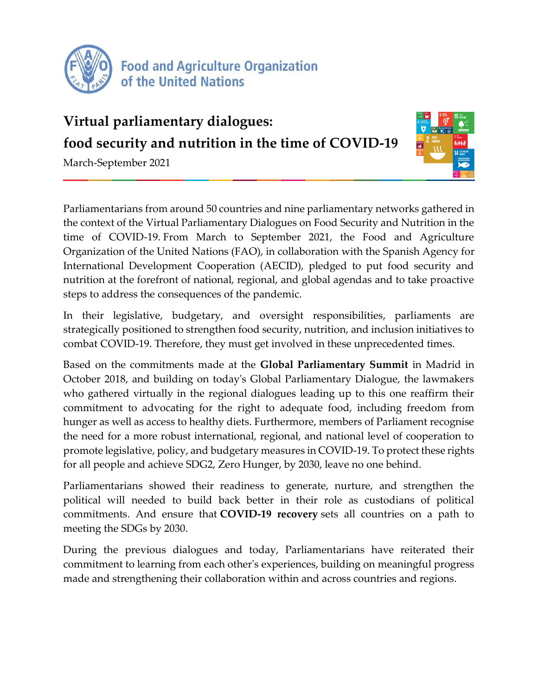

## **Virtual parliamentary dialogues: food security and nutrition in the time of COVID-19**

March-September 2021



Parliamentarians from around 50 countries and nine parliamentary networks gathered in the context of the Virtual Parliamentary Dialogues on Food Security and Nutrition in the time of COVID-19. From March to September 2021, the Food and Agriculture Organization of the United Nations (FAO), in collaboration with the Spanish Agency for International Development Cooperation (AECID), pledged to put food security and nutrition at the forefront of national, regional, and global agendas and to take proactive steps to address the consequences of the pandemic.

In their legislative, budgetary, and oversight responsibilities, parliaments are strategically positioned to strengthen food security, nutrition, and inclusion initiatives to combat COVID-19. Therefore, they must get involved in these unprecedented times.

Based on the commitments made at the **Global Parliamentary Summit** in Madrid in October 2018, and building on today's Global Parliamentary Dialogue, the lawmakers who gathered virtually in the regional dialogues leading up to this one reaffirm their commitment to advocating for the right to adequate food, including freedom from hunger as well as access to healthy diets. Furthermore, members of Parliament recognise the need for a more robust international, regional, and national level of cooperation to promote legislative, policy, and budgetary measures in COVID-19. To protect these rights for all people and achieve SDG2, Zero Hunger, by 2030, leave no one behind.

Parliamentarians showed their readiness to generate, nurture, and strengthen the political will needed to build back better in their role as custodians of political commitments. And ensure that **COVID-19 recovery** sets all countries on a path to meeting the SDGs by 2030.

During the previous dialogues and today, Parliamentarians have reiterated their commitment to learning from each other's experiences, building on meaningful progress made and strengthening their collaboration within and across countries and regions.